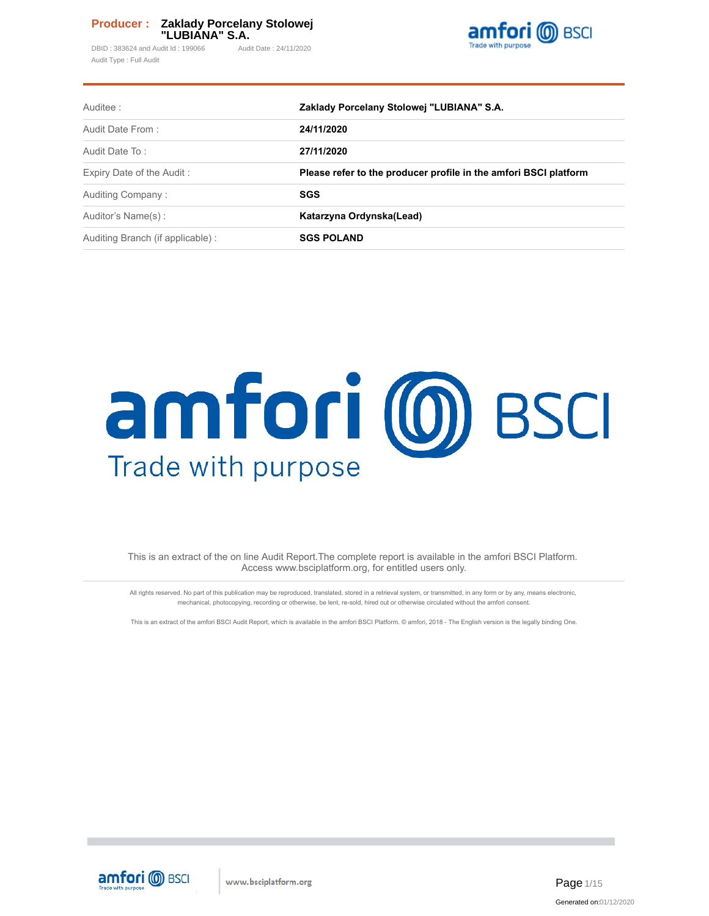DBID: 383624 and Audit Id: 199066 Audit Date: 24/11/2020 Audit Type : Full Audit



| Auditee:                         | Zaklady Porcelany Stolowej "LUBIANA" S.A.                        |  |  |  |  |  |
|----------------------------------|------------------------------------------------------------------|--|--|--|--|--|
| Audit Date From:                 | 24/11/2020                                                       |  |  |  |  |  |
| Audit Date To:                   | 27/11/2020                                                       |  |  |  |  |  |
| Expiry Date of the Audit:        | Please refer to the producer profile in the amfori BSCI platform |  |  |  |  |  |
| Auditing Company:                | <b>SGS</b>                                                       |  |  |  |  |  |
| Auditor's Name(s):               | Katarzyna Ordynska(Lead)                                         |  |  |  |  |  |
| Auditing Branch (if applicable): | <b>SGS POLAND</b>                                                |  |  |  |  |  |

# amfori (0) BSCI Trade with purpose

This is an extract of the on line Audit Report.The complete report is available in the amfori BSCI Platform. Access www.bsciplatform.org, for entitled users only.

All rights reserved. No part of this publication may be reproduced, translated, stored in a retrieval system, or transmitted, in any form or by any, means electronic, mechanical, photocopying, recording or otherwise, be lent, re-sold, hired out or otherwise circulated without the amfori consent.

This is an extract of the amfori BSCI Audit Report, which is available in the amfori BSCI Platform. © amfori, 2018 - The English version is the legally binding One.

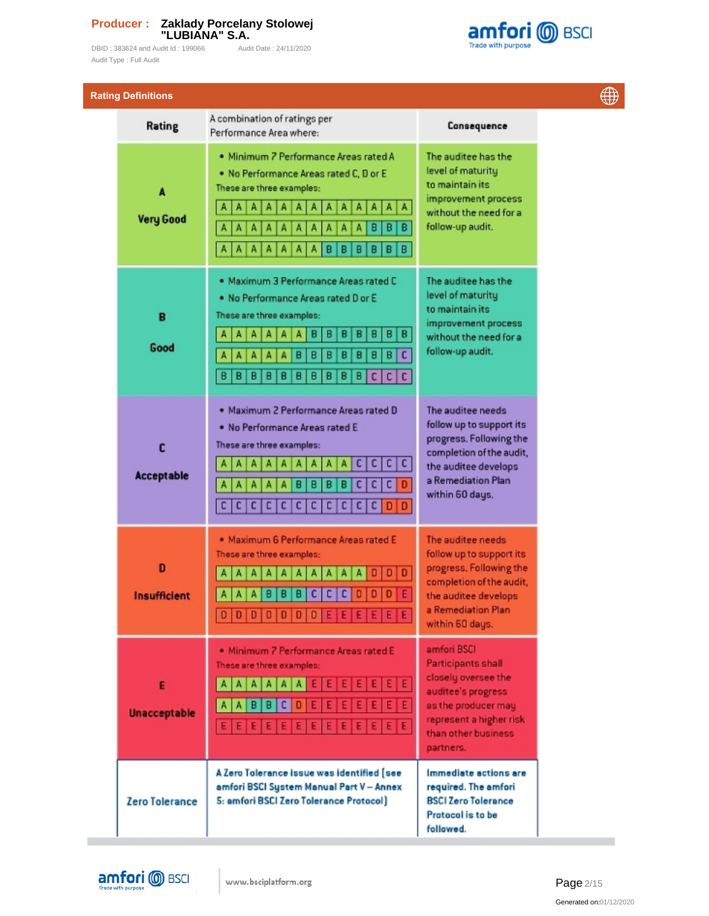DBID : 383624 and Audit Id : 199066 Audit Date : 24/11/2020 Audit Type : Full Audit



| <b>Rating Definitions</b> |                                                                                                                                                                                                                                                                                   |                                                                                                                                                                             |  |
|---------------------------|-----------------------------------------------------------------------------------------------------------------------------------------------------------------------------------------------------------------------------------------------------------------------------------|-----------------------------------------------------------------------------------------------------------------------------------------------------------------------------|--|
| Rating                    | A combination of ratings per<br>Performance Area where:                                                                                                                                                                                                                           | Consequence                                                                                                                                                                 |  |
| A<br><b>Very Good</b>     | · Minimum 7 Performance Areas rated A<br>. No Performance Areas rated C, D or E<br>These are three examples:<br>A<br>A<br>A<br>А<br>Α<br>A<br>Α<br>A<br>А<br>А<br>A<br>A<br>А<br>в<br>B<br>A<br>в<br>A<br>А<br>A<br>Α<br>А<br>А<br>B<br>Α<br>٨<br>Α<br>в<br>в<br>в<br>в<br>B<br>Α | The auditee has the<br>level of maturity<br>to maintain its<br>improvement process<br>without the need for a<br>follow-up audit.                                            |  |
| B<br>Good                 | . Maximum 3 Performance Areas rated C<br>. No Performance Areas rated D or E<br>These are three examples:<br>B<br>в<br>в<br>в<br>Β<br>в<br>в<br>A<br>c<br>в<br>B<br>в<br>в<br>Β<br>B<br>B<br>В<br>в<br>в<br>В<br>в<br>в<br>в<br>в<br>c<br>c  <br>c                                | The auditee has the<br>level of maturity<br>to maintain its<br>improvement process<br>without the need for a<br>follow-up audit.                                            |  |
| C<br><b>Acceptable</b>    | . Maximum 2 Performance Areas rated D<br>. No Performance Areas rated E<br>These are three examples:<br>c<br>сı<br>c<br>c<br>А<br>с<br>c<br>c<br>A<br>A<br>в<br>в<br>в<br>в<br>Α<br>Α<br>А<br>c c <br>$\mathbf{c}$<br>c<br>с<br>c<br>с<br>c<br>c<br>с<br>с<br>D<br>l D            | The auditee needs<br>follow up to support its<br>progress. Following the<br>completion of the audit,<br>the auditee develops<br>a Remediation Plan<br>within 60 days.       |  |
| D<br><b>Insufficient</b>  | · Maximum 6 Performance Areas rated E<br>These are three examples:<br>c<br>Е<br>B<br>в<br>с<br>0<br>D<br>В<br>$D   D   D   D   D   D   D   D   E   E   E   E   E   E$                                                                                                             | The auditee needs<br>follow up to support its<br>progress. Following the<br>completion of the audit,<br>the auditee develops<br>a Remediation Plan<br>within 60 days.       |  |
| E<br><b>Unacceptable</b>  | · Minimum 7 Performance Areas rated E<br>These are three examples:<br>E E E E E E E<br>AAAAAAA<br>Ε<br> A <br>B<br>B<br>c<br>D<br>Ε<br>Ε<br>$\mathbf{A}$<br>E E E E E E E<br>Ε<br>Ε<br>EE                                                                                         | amfori BSCI<br><b>Participants shall</b><br>closely oversee the<br>auditee's progress<br>as the producer may<br>represent a higher risk<br>than other business<br>partners. |  |
| <b>Zero Tolerance</b>     | A Zero Tolerance issue was identified [see<br>amfori BSCI System Manual Part V - Annex<br>5: amfori BSCI Zero Tolerance Protocol)                                                                                                                                                 | Immediate actions are<br>required. The amfori<br><b>BSCI Zero Tolerance</b><br>Protocol is to be<br>followed.                                                               |  |



m.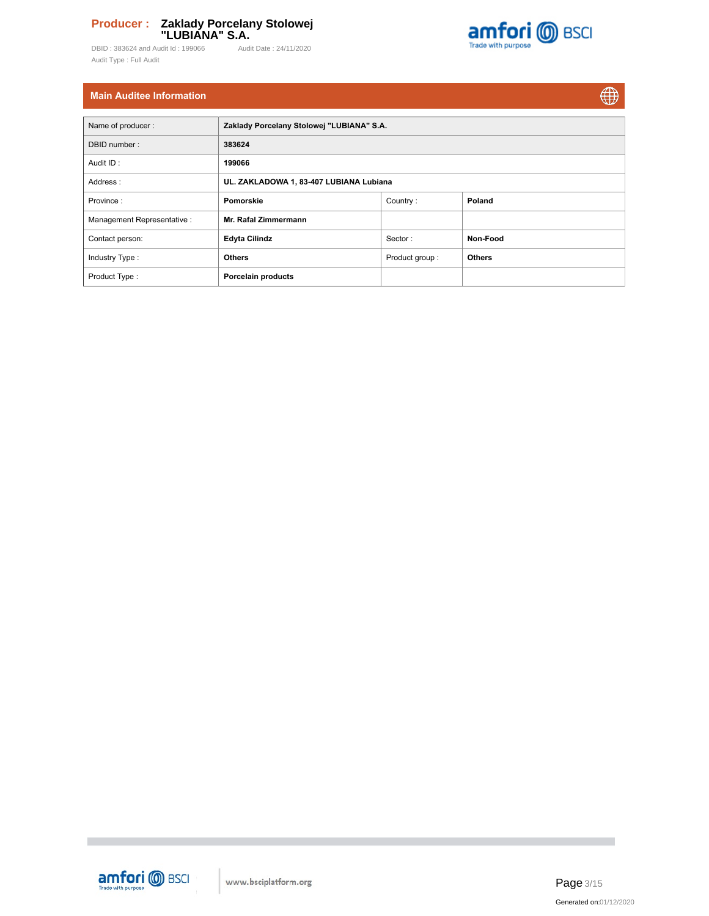DBID : 383624 and Audit Id : 199066 Audit Date : 24/11/2020 Audit Type : Full Audit



 $\bigoplus$ 

# **Main Auditee Information**

| Name of producer:          | Zaklady Porcelany Stolowej "LUBIANA" S.A. |                |               |  |  |  |  |  |  |  |
|----------------------------|-------------------------------------------|----------------|---------------|--|--|--|--|--|--|--|
| DBID number:               | 383624                                    |                |               |  |  |  |  |  |  |  |
| Audit ID:                  | 199066                                    |                |               |  |  |  |  |  |  |  |
| Address:                   | UL. ZAKLADOWA 1, 83-407 LUBIANA Lubiana   |                |               |  |  |  |  |  |  |  |
| Province:                  | Pomorskie                                 | Country:       | Poland        |  |  |  |  |  |  |  |
| Management Representative: | Mr. Rafal Zimmermann                      |                |               |  |  |  |  |  |  |  |
| Contact person:            | <b>Edyta Cilindz</b>                      | Sector:        | Non-Food      |  |  |  |  |  |  |  |
| Industry Type:             | <b>Others</b>                             | Product group: | <b>Others</b> |  |  |  |  |  |  |  |
| Product Type:              | <b>Porcelain products</b>                 |                |               |  |  |  |  |  |  |  |



**The State**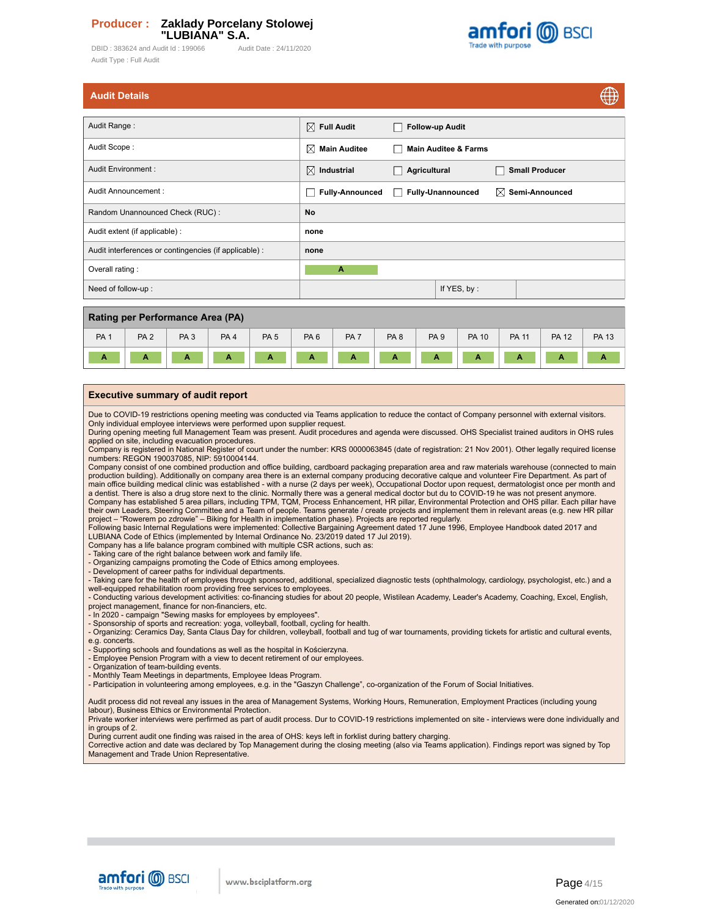DBID: 383624 and Audit Id: 199066 Audit Date: 24/11/2020 Audit Type : Full Audit



| <b>Audit Details</b> |  |  |
|----------------------|--|--|
|                      |  |  |
|                      |  |  |

|                                                        |                                                    |                                                    |                                 |                            | ₩ |
|--------------------------------------------------------|----------------------------------------------------|----------------------------------------------------|---------------------------------|----------------------------|---|
|                                                        |                                                    |                                                    |                                 |                            |   |
| Audit Range:                                           | $\boxtimes$ Full Audit                             | <b>Follow-up Audit</b><br>$\overline{\phantom{a}}$ |                                 |                            |   |
| Audit Scope:                                           | X<br><b>Main Auditee</b>                           |                                                    | <b>Main Auditee &amp; Farms</b> |                            |   |
| Audit Environment :                                    | $\boxtimes$ Industrial                             | Agricultural                                       |                                 | <b>Small Producer</b>      |   |
| Audit Announcement:                                    | <b>Fully-Announced</b><br>$\overline{\phantom{a}}$ | m.                                                 | <b>Fully-Unannounced</b>        | $\boxtimes$ Semi-Announced |   |
| Random Unannounced Check (RUC):                        | No                                                 |                                                    |                                 |                            |   |
| Audit extent (if applicable) :                         | none                                               |                                                    |                                 |                            |   |
| Audit interferences or contingencies (if applicable) : | none                                               |                                                    |                                 |                            |   |
| Overall rating:                                        | A                                                  |                                                    |                                 |                            |   |
| Need of follow-up:                                     |                                                    |                                                    | If YES, by:                     |                            |   |
|                                                        |                                                    |                                                    |                                 |                            |   |

| Rating per Performance Area (PA) |                 |                 |                 |                 |                 |                 |                 |                 |              |              |              |              |
|----------------------------------|-----------------|-----------------|-----------------|-----------------|-----------------|-----------------|-----------------|-----------------|--------------|--------------|--------------|--------------|
| PA <sub>1</sub>                  | PA <sub>2</sub> | PA <sub>3</sub> | PA <sub>4</sub> | PA <sub>5</sub> | PA <sub>6</sub> | PA <sub>7</sub> | PA <sub>8</sub> | PA <sub>9</sub> | <b>PA 10</b> | <b>PA 11</b> | <b>PA 12</b> | <b>PA 13</b> |
| $\mathbf{r}$<br>. .              | А               | А               | А               | Α               | А               | A               | А               |                 |              | А            | А            |              |

### **Executive summary of audit report**

Due to COVID-19 restrictions opening meeting was conducted via Teams application to reduce the contact of Company personnel with external visitors. Only individual employee interviews were performed upon supplier request.

During opening meeting full Management Team was present. Audit procedures and agenda were discussed. OHS Specialist trained auditors in OHS rules

applied on site, including evacuation procedures.<br>Company is registered in National Register of court under the number: KRS 0000063845 (date of registration: 21 Nov 2001). Other legally required license numbers: REGON 190037085, NIP: 5910004144.

Company consist of one combined production and office building, cardboard packaging preparation area and raw materials warehouse (connected to main production building). Additionally on company area there is an external company producing decorative calque and volunteer Fire Department. As part of main office building medical clinic was established - with a nurse (2 days per week), Occupational Doctor upon request, dermatologist once per month and a dentist. There is also a drug store next to the clinic. Normally there was a general medical doctor but du to COVID-19 he was not present anymore.<br>Company has established 5 area pillars, including TPM, TQM, Process Enhan project – "Rowerem po zdrowie" – Biking for Health in implementation phase). Projects are reported regularly.

Following basic Internal Regulations were implemented: Collective Bargaining Agreement dated 17 June 1996, Employee Handbook dated 2017 and LUBIANA Code of Ethics (implemented by Internal Ordinance No. 23/2019 dated 17 Jul 2019).

Company has a life balance program combined with multiple CSR actions, such as:

- Taking care of the right balance between work and family life.

- Organizing campaigns promoting the Code of Ethics among employees. - Development of career paths for individual departments.

- Taking care for the health of employees through sponsored, additional, specialized diagnostic tests (ophthalmology, cardiology, psychologist, etc.) and a well-equipped rehabilitation room providing free services to employees.

- Conducting various development activities: co-financing studies for about 20 people, Wistilean Academy, Leader's Academy, Coaching, Excel, English, project management, finance for non-financiers, etc.<br>- In 2020 - campaign "Sewing masks for employees by employees".<br>- Sponsorship of sports and recreation: yoga, volleyball, football, cycling for health.<br>- Organizing: Cer

e.g. concerts.

- Supporting schools and foundations as well as the hospital in Kościerzyna.

- Employee Pension Program with a view to decent retirement of our employees.

- Organization of team-building events.

- Monthly Team Meetings in departments, Employee Ideas Program.

- Participation in volunteering among employees, e.g. in the "Gaszyn Challenge", co-organization of the Forum of Social Initiatives.

Audit process did not reveal any issues in the area of Management Systems, Working Hours, Remuneration, Employment Practices (including young

labour), Business Ethics or Environmental Protection.

Private worker interviews were perfirmed as part of audit process. Dur to COVID-19 restrictions implemented on site - interviews were done individually and in groups of 2.

During current audit one finding was raised in the area of OHS: keys left in forklist during battery charging.

Corrective action and date was declared by Top Management during the closing meeting (also via Teams application). Findings report was signed by Top Management and Trade Union Representative.



AA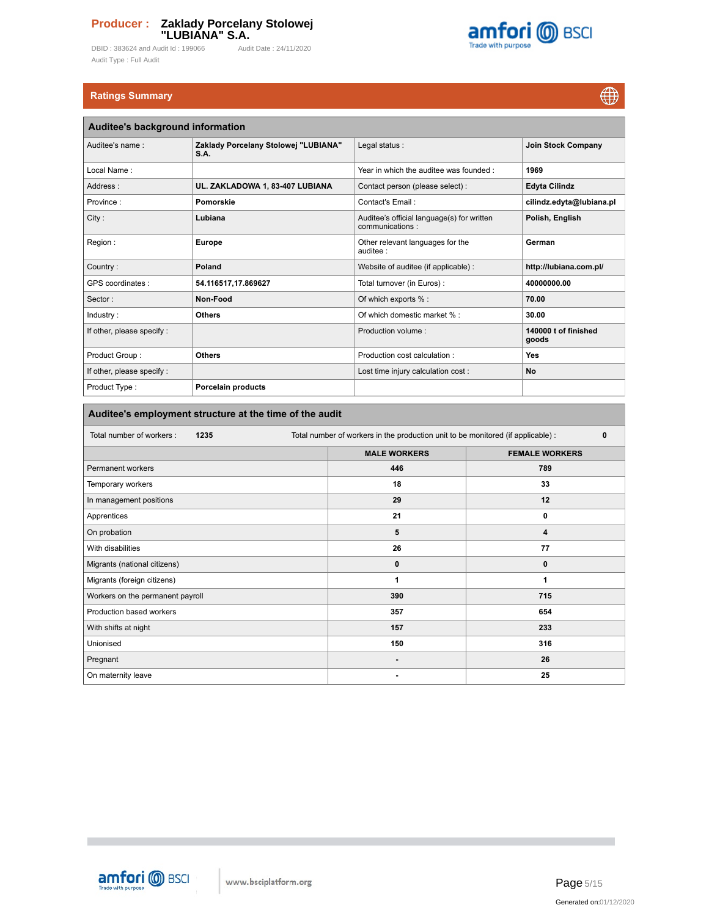DBID : 383624 and Audit Id : 199066 Audit Date : 24/11/2020 Audit Type : Full Audit



# **Ratings Summary**

 $\bigoplus$ 

| Auditee's background information |                                              |                                                               |                               |  |  |  |  |  |  |
|----------------------------------|----------------------------------------------|---------------------------------------------------------------|-------------------------------|--|--|--|--|--|--|
| Auditee's name:                  | Zaklady Porcelany Stolowej "LUBIANA"<br>S.A. | Legal status:                                                 | <b>Join Stock Company</b>     |  |  |  |  |  |  |
| Local Name:                      |                                              | Year in which the auditee was founded:                        | 1969                          |  |  |  |  |  |  |
| Address:                         | UL. ZAKLADOWA 1, 83-407 LUBIANA              | Contact person (please select) :                              | <b>Edyta Cilindz</b>          |  |  |  |  |  |  |
| Province:                        | Pomorskie                                    | Contact's Email:                                              | cilindz.edyta@lubiana.pl      |  |  |  |  |  |  |
| City:                            | Lubiana                                      | Auditee's official language(s) for written<br>communications: | Polish, English               |  |  |  |  |  |  |
| Region:                          | <b>Europe</b>                                | Other relevant languages for the<br>auditee :                 | German                        |  |  |  |  |  |  |
| Country:                         | Poland                                       | Website of auditee (if applicable) :                          | http://lubiana.com.pl/        |  |  |  |  |  |  |
| GPS coordinates :                | 54.116517,17.869627                          | Total turnover (in Euros) :                                   | 40000000.00                   |  |  |  |  |  |  |
| Sector:                          | Non-Food                                     | Of which exports % :                                          | 70.00                         |  |  |  |  |  |  |
| Industry:                        | <b>Others</b>                                | Of which domestic market % :                                  | 30.00                         |  |  |  |  |  |  |
| If other, please specify :       |                                              | Production volume:                                            | 140000 t of finished<br>goods |  |  |  |  |  |  |
| Product Group:                   | <b>Others</b>                                | Production cost calculation:                                  | <b>Yes</b>                    |  |  |  |  |  |  |
| If other, please specify :       |                                              | Lost time injury calculation cost :                           | <b>No</b>                     |  |  |  |  |  |  |
| Product Type:                    | Porcelain products                           |                                                               |                               |  |  |  |  |  |  |

# **Auditee's employment structure at the time of the audit**

| Total number of workers:<br>1235 | Total number of workers in the production unit to be monitored (if applicable) : |                       |  |  |  |  |
|----------------------------------|----------------------------------------------------------------------------------|-----------------------|--|--|--|--|
|                                  | <b>MALE WORKERS</b>                                                              | <b>FEMALE WORKERS</b> |  |  |  |  |
| Permanent workers                | 446                                                                              | 789                   |  |  |  |  |
| Temporary workers                | 18                                                                               | 33                    |  |  |  |  |
| In management positions          | 29                                                                               | 12                    |  |  |  |  |
| Apprentices                      | 21                                                                               | 0                     |  |  |  |  |
| On probation                     | 5                                                                                | 4                     |  |  |  |  |
| With disabilities                | 26                                                                               | 77                    |  |  |  |  |
| Migrants (national citizens)     | $\mathbf 0$                                                                      | $\mathbf{0}$          |  |  |  |  |
| Migrants (foreign citizens)      | 1                                                                                | 1                     |  |  |  |  |
| Workers on the permanent payroll | 390                                                                              | 715                   |  |  |  |  |
| Production based workers         | 357                                                                              | 654                   |  |  |  |  |
| With shifts at night             | 157                                                                              | 233                   |  |  |  |  |
| Unionised                        | 150                                                                              | 316                   |  |  |  |  |
| Pregnant                         | $\overline{\phantom{a}}$                                                         | 26                    |  |  |  |  |
| On maternity leave               | ۰                                                                                | 25                    |  |  |  |  |

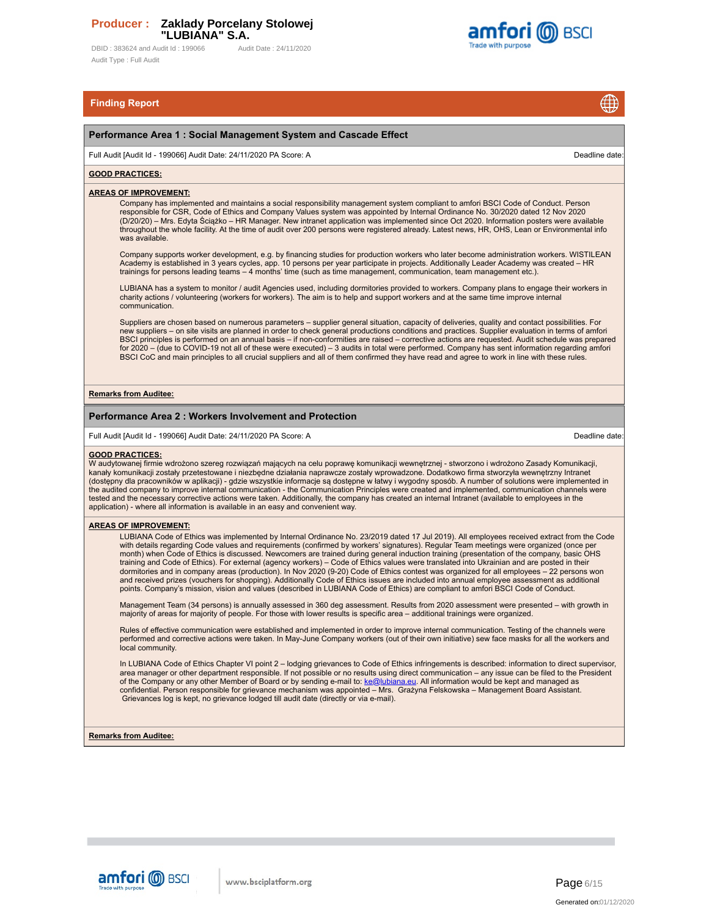DBID: 383624 and Audit Id: 199066 Audit Date: 24/11/2020 Audit Type : Full Audit



# **Finding Report**

### **Performance Area 1 : Social Management System and Cascade Effect**

Full Audit [Audit Id - 199066] Audit Date: 24/11/2020 PA Score: A Deadline date:

⊕

### **GOOD PRACTICES:**

### **AREAS OF IMPROVEMENT:**

Company has implemented and maintains a social responsibility management system compliant to amfori BSCI Code of Conduct. Person responsible for CSR, Code of Ethics and Company Values system was appointed by Internal Ordinance No. 30/2020 dated 12 Nov 2020 (D/20/20) – Mrs. Edyta Ściążko – HR Manager. New intranet application was implemented since Oct 2020. Information posters were available throughout the whole facility. At the time of audit over 200 persons were registered already. Latest news, HR, OHS, Lean or Environmental info was available.

Company supports worker development, e.g. by financing studies for production workers who later become administration workers. WISTILEAN<br>Academy is established in 3 years cycles, app. 10 persons per year participate in pro

LUBIANA has a system to monitor / audit Agencies used, including dormitories provided to workers. Company plans to engage their workers in charity actions / volunteering (workers for workers). The aim is to help and support workers and at the same time improve internal communication.

Suppliers are chosen based on numerous parameters – supplier general situation, capacity of deliveries, quality and contact possibilities. For new suppliers – on site visits are planned in order to check general productions conditions and practices. Supplier evaluation in terms of amfori<br>BSCI principles is performed on an annual basis – if non-conformities are ra for 2020 – (due to COVID-19 not all of these were executed) – 3 audits in total were performed. Company has sent information regarding amfori BSCI CoC and main principles to all crucial suppliers and all of them confirmed they have read and agree to work in line with these rules

### **Remarks from Auditee:**

### **Performance Area 2 : Workers Involvement and Protection**

Full Audit [Audit Id - 199066] Audit Date: 24/11/2020 PA Score: A Deadline date:

### **GOOD PRACTICES:**

W audytowanej firmie wdrożono szereg rozwiązań mających na celu poprawę komunikacji wewnętrznej - stworzono i wdrożono Zasady Komunikacji, kanały komunikacji zostały przetestowane i niezbędne działania naprawcze zostały wprowadzone. Dodatkowo firma stworzyła wewnętrzny Intranet (dostępny dla pracowników w aplikacji) - gdzie wszystkie informacje są dostępne w łatwy i wygodny sposób. A number of solutions were implemented in the audited company to improve internal communication - the Communication Principles were created and implemented, communication channels were<br>tested and the necessary corrective actions were taken. Additionally, the compa application) - where all information is available in an easy and convenient way.

### **AREAS OF IMPROVEMENT:**

LUBIANA Code of Ethics was implemented by Internal Ordinance No. 23/2019 dated 17 Jul 2019). All employees received extract from the Code with details regarding Code values and requirements (confirmed by workers' signatures). Regular Team meetings were organized (once per month) when Code of Ethics is discussed. Newcomers are trained during general induction training (presentation of the company, basic OHS<br>training and Code of Ethics). For external (agency workers) – Code of Ethics values w and received prizes (vouchers for shopping). Additionally Code of Ethics issues are included into annual employee assessment as additional points. Company's mission, vision and values (described in LUBIANA Code of Ethics) are compliant to amfori BSCI Code of Conduct.

Management Team (34 persons) is annually assessed in 360 deg assessment. Results from 2020 assessment were presented – with growth in<br>majority of areas for majority of people. For those with lower results is specific area

Rules of effective communication were established and implemented in order to improve internal communication. Testing of the channels were performed and corrective actions were taken. In May-June Company workers (out of their own initiative) sew face masks for all the workers and local community.

In LUBIANA Code of Ethics Chapter VI point 2 – lodging grievances to Code of Ethics infringements is described: information to direct supervisor, area manager or other department responsible. If not possible or no results using direct communication – any issue can be filed to the President<br>of the Company or any other Member of Board or by sending e-mail to: <u>ke@lubi</u> Grievances log is kept, no grievance lodged till audit date (directly or via e-mail).

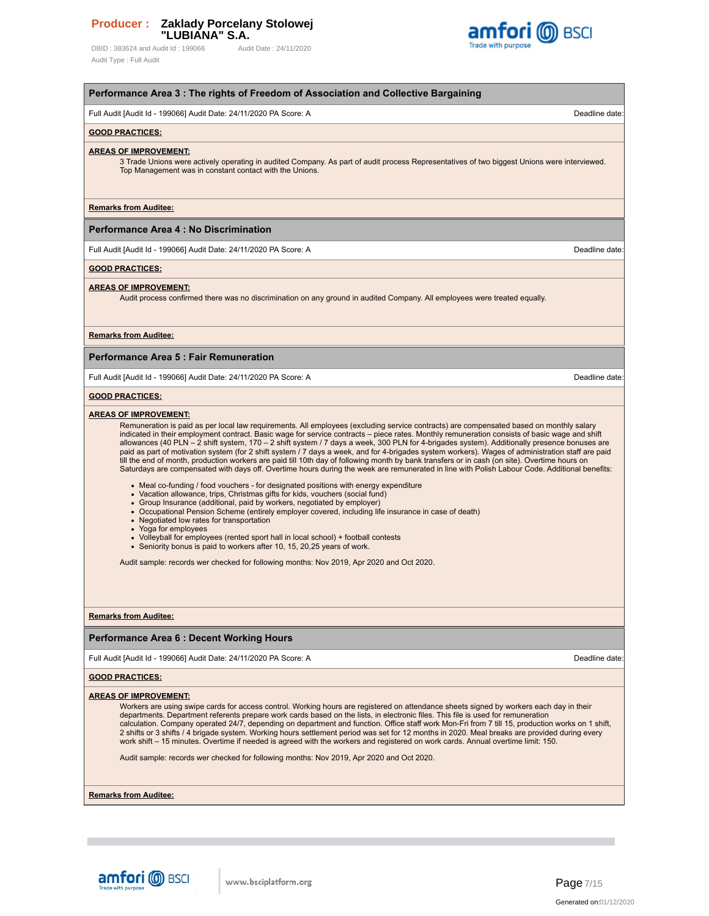DBID : 383624 and Audit Id : 199066 Audit Date : 24/11/2020 Audit Type : Full Audit



| Full Audit [Audit Id - 199066] Audit Date: 24/11/2020 PA Score: A<br><b>GOOD PRACTICES:</b><br><b>AREAS OF IMPROVEMENT:</b><br>3 Trade Unions were actively operating in audited Company. As part of audit process Representatives of two biggest Unions were interviewed.<br>Top Management was in constant contact with the Unions.<br><b>Remarks from Auditee:</b><br><b>Performance Area 4: No Discrimination</b><br>Full Audit [Audit Id - 199066] Audit Date: 24/11/2020 PA Score: A<br><b>GOOD PRACTICES:</b><br><b>AREAS OF IMPROVEMENT:</b><br>Audit process confirmed there was no discrimination on any ground in audited Company. All employees were treated equally.<br><b>Remarks from Auditee:</b><br><b>Performance Area 5: Fair Remuneration</b>                                                                                                                                                               | Deadline date:<br>Deadline date: |
|---------------------------------------------------------------------------------------------------------------------------------------------------------------------------------------------------------------------------------------------------------------------------------------------------------------------------------------------------------------------------------------------------------------------------------------------------------------------------------------------------------------------------------------------------------------------------------------------------------------------------------------------------------------------------------------------------------------------------------------------------------------------------------------------------------------------------------------------------------------------------------------------------------------------------------|----------------------------------|
|                                                                                                                                                                                                                                                                                                                                                                                                                                                                                                                                                                                                                                                                                                                                                                                                                                                                                                                                 |                                  |
|                                                                                                                                                                                                                                                                                                                                                                                                                                                                                                                                                                                                                                                                                                                                                                                                                                                                                                                                 |                                  |
|                                                                                                                                                                                                                                                                                                                                                                                                                                                                                                                                                                                                                                                                                                                                                                                                                                                                                                                                 |                                  |
|                                                                                                                                                                                                                                                                                                                                                                                                                                                                                                                                                                                                                                                                                                                                                                                                                                                                                                                                 |                                  |
|                                                                                                                                                                                                                                                                                                                                                                                                                                                                                                                                                                                                                                                                                                                                                                                                                                                                                                                                 |                                  |
|                                                                                                                                                                                                                                                                                                                                                                                                                                                                                                                                                                                                                                                                                                                                                                                                                                                                                                                                 |                                  |
|                                                                                                                                                                                                                                                                                                                                                                                                                                                                                                                                                                                                                                                                                                                                                                                                                                                                                                                                 |                                  |
|                                                                                                                                                                                                                                                                                                                                                                                                                                                                                                                                                                                                                                                                                                                                                                                                                                                                                                                                 |                                  |
|                                                                                                                                                                                                                                                                                                                                                                                                                                                                                                                                                                                                                                                                                                                                                                                                                                                                                                                                 |                                  |
|                                                                                                                                                                                                                                                                                                                                                                                                                                                                                                                                                                                                                                                                                                                                                                                                                                                                                                                                 |                                  |
| Full Audit [Audit Id - 199066] Audit Date: 24/11/2020 PA Score: A                                                                                                                                                                                                                                                                                                                                                                                                                                                                                                                                                                                                                                                                                                                                                                                                                                                               | Deadline date:                   |
| <b>GOOD PRACTICES:</b>                                                                                                                                                                                                                                                                                                                                                                                                                                                                                                                                                                                                                                                                                                                                                                                                                                                                                                          |                                  |
| <b>AREAS OF IMPROVEMENT:</b><br>Remuneration is paid as per local law requirements. All employees (excluding service contracts) are compensated based on monthly salary<br>indicated in their employment contract. Basic wage for service contracts - piece rates. Monthly remuneration consists of basic wage and shift<br>allowances (40 PLN - 2 shift system, 170 - 2 shift system / 7 days a week, 300 PLN for 4-brigades system). Additionally presence bonuses are<br>paid as part of motivation system (for 2 shift system / 7 days a week, and for 4-brigades system workers). Wages of administration staff are paid<br>till the end of month, production workers are paid till 10th day of following month by bank transfers or in cash (on site). Overtime hours on<br>Saturdays are compensated with days off. Overtime hours during the week are remunerated in line with Polish Labour Code. Additional benefits: |                                  |
| • Meal co-funding / food vouchers - for designated positions with energy expenditure<br>• Vacation allowance, trips, Christmas gifts for kids, vouchers (social fund)<br>• Group Insurance (additional, paid by workers, negotiated by employer)<br>• Occupational Pension Scheme (entirely employer covered, including life insurance in case of death)<br>• Negotiated low rates for transportation<br>• Yoga for employees<br>• Volleyball for employees (rented sport hall in local school) + football contests<br>• Seniority bonus is paid to workers after 10, 15, 20, 25 years of work.<br>Audit sample: records wer checked for following months: Nov 2019, Apr 2020 and Oct 2020.                                                                                                                                                                                                                                     |                                  |
| <b>Remarks from Auditee:</b>                                                                                                                                                                                                                                                                                                                                                                                                                                                                                                                                                                                                                                                                                                                                                                                                                                                                                                    |                                  |
| <b>Performance Area 6: Decent Working Hours</b>                                                                                                                                                                                                                                                                                                                                                                                                                                                                                                                                                                                                                                                                                                                                                                                                                                                                                 |                                  |
| Full Audit [Audit Id - 199066] Audit Date: 24/11/2020 PA Score: A                                                                                                                                                                                                                                                                                                                                                                                                                                                                                                                                                                                                                                                                                                                                                                                                                                                               | Deadline date:                   |
| <b>GOOD PRACTICES:</b>                                                                                                                                                                                                                                                                                                                                                                                                                                                                                                                                                                                                                                                                                                                                                                                                                                                                                                          |                                  |
| <b>AREAS OF IMPROVEMENT:</b><br>Workers are using swipe cards for access control. Working hours are registered on attendance sheets signed by workers each day in their<br>departments. Department referents prepare work cards based on the lists, in electronic files. This file is used for remuneration<br>calculation. Company operated 24/7, depending on department and function. Office staff work Mon-Fri from 7 till 15, production works on 1 shift,<br>2 shifts or 3 shifts / 4 brigade system. Working hours settlement period was set for 12 months in 2020. Meal breaks are provided during every<br>work shift – 15 minutes. Overtime if needed is agreed with the workers and registered on work cards. Annual overtime limit: 150.<br>Audit sample: records wer checked for following months: Nov 2019, Apr 2020 and Oct 2020.                                                                                |                                  |

**Remarks from Auditee:**

**COL** 

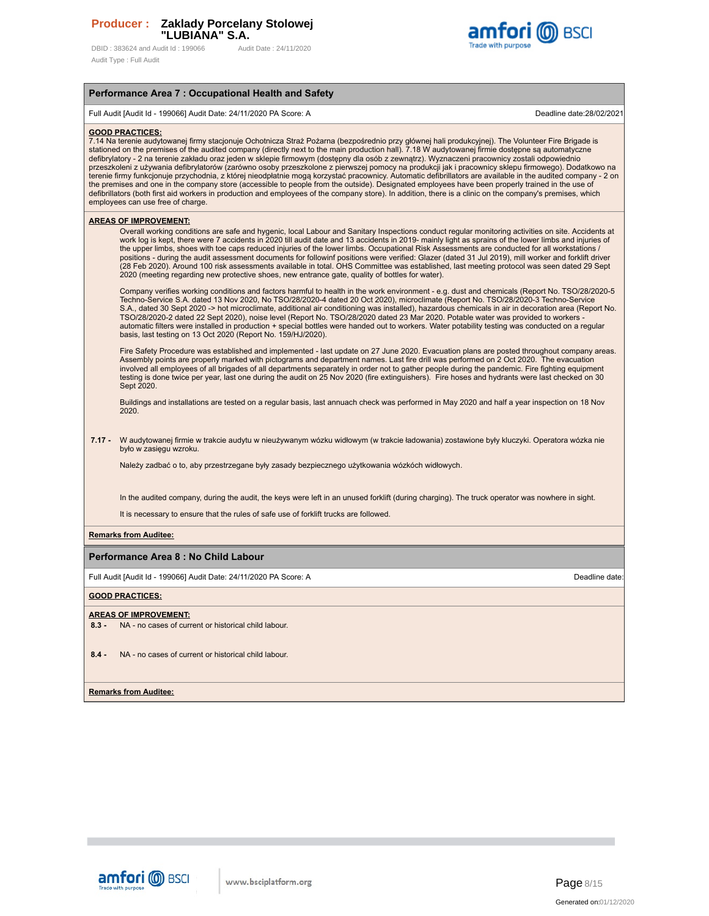DBID: 383624 and Audit Id: 199066 Audit Date: 24/11/2020 Audit Type : Full Audit



## **Performance Area 7 : Occupational Health and Safety**

Full Audit [Audit Id - 199066] Audit Date: 24/11/2020 PA Score: A Deadline date:28/02/2021

### **GOOD PRACTICES:**

7.14 Na terenie audytowanej firmy stacjonuje Ochotnicza Straż Pożarna (bezpośrednio przy głównej hali produkcyjnej). The Volunteer Fire Brigade is<br>stationed on the premises of the audited company (directly next to the main defibrylatory - 2 na terenie zakładu oraz jeden w sklepie firmowym (dostępny dla osób z zewnątrz). Wyznaczeni pracownicy zostali odpowiednio przeszkoleni z używania defibrylatorów (zarówno osoby przeszkolone z pierwszej pomocy na produkcji jak i pracownicy sklepu firmowego). Dodatkowo na terenie firmy funkcjonuje przychodnia, z której nieodpłatnie mogą korzystać pracownicy. Automatic defibrillators are available in the audited company - 2 on the premises and one in the company store (accessible to people from the outside). Designated employees have been properly trained in the use of<br>defibrillators (both first aid workers in production and employees of the com employees can use free of charge.

### **AREAS OF IMPROVEMENT:**

Overall working conditions are safe and hygenic, local Labour and Sanitary Inspections conduct regular monitoring activities on site. Accidents at work log is kept, there were 7 accidents in 2020 till audit date and 13 accidents in 2019- mainly light as sprains of the lower limbs and injuries of the upper limbs, shoes with toe caps reduced injuries of the lower limbs. Occupational Risk Assessments are conducted for all workstations /<br>positions - during the audit assessment documents for followinf positions were ve (28 Feb 2020). Around 100 risk assessments available in total. OHS Committee was established, last meeting protocol was seen dated 29 Sept 2020 (meeting regarding new protective shoes, new entrance gate, quality of bottles for water).

Company verifies working conditions and factors harmful to health in the work environment - e.g. dust and chemicals (Report No. TSO/28/2020-5 Techno-Service S.A. dated 13 Nov 2020, No TSO/28/2020-4 dated 20 Oct 2020), microclimate (Report No. TSO/28/2020-3 Techno-Service S.A., dated 30 Sept 2020 -> hot microclimate, additional air conditioning was installed), hazardous chemicals in air in decoration area (Report No. TSO/28/2020-2 dated 22 Sept 2020), noise level (Report No. TSO/28/2020 dated 23 Mar 2020. Potable water was provided to workers automatic filters were installed in production + special bottles were handed out to workers. Water potability testing was conducted on a regular basis, last testing on 13 Oct 2020 (Report No. 159/HJ/2020).

Fire Safety Procedure was established and implemented - last update on 27 June 2020. Evacuation plans are posted throughout company areas. Assembly points are properly marked with pictograms and department names. Last fire drill was performed on 2 Oct 2020. The evacuation involved all employees of all brigades of all departments separately in order not to gather people during the pandemic. Fire fighting equipment testing is done twice per year, last one during the audit on 25 Nov 2020 (fire extinguishers). Fire hoses and hydrants were last checked on 30 Sept 2020

Buildings and installations are tested on a regular basis, last annuach check was performed in May 2020 and half a year inspection on 18 Nov 2020.

### **7.17 -** W audytowanej firmie w trakcie audytu w nieużywanym wózku widłowym (w trakcie ładowania) zostawione były kluczyki. Operatora wózka nie było w zasięgu wzroku.

Należy zadbać o to, aby przestrzegane były zasady bezpiecznego użytkowania wózkóch widłowych.

In the audited company, during the audit, the keys were left in an unused forklift (during charging). The truck operator was nowhere in sight.

It is necessary to ensure that the rules of safe use of forklift trucks are followed.

### **Remarks from Auditee:**

### **Performance Area 8 : No Child Labour**

Full Audit [Audit Id - 199066] Audit Date: 24/11/2020 PA Score: A Deadline date:

### **GOOD PRACTICES:**

### **AREAS OF IMPROVEMENT:**

**8.3 -** NA - no cases of current or historical child labour.

**8.4 -** NA - no cases of current or historical child labour.

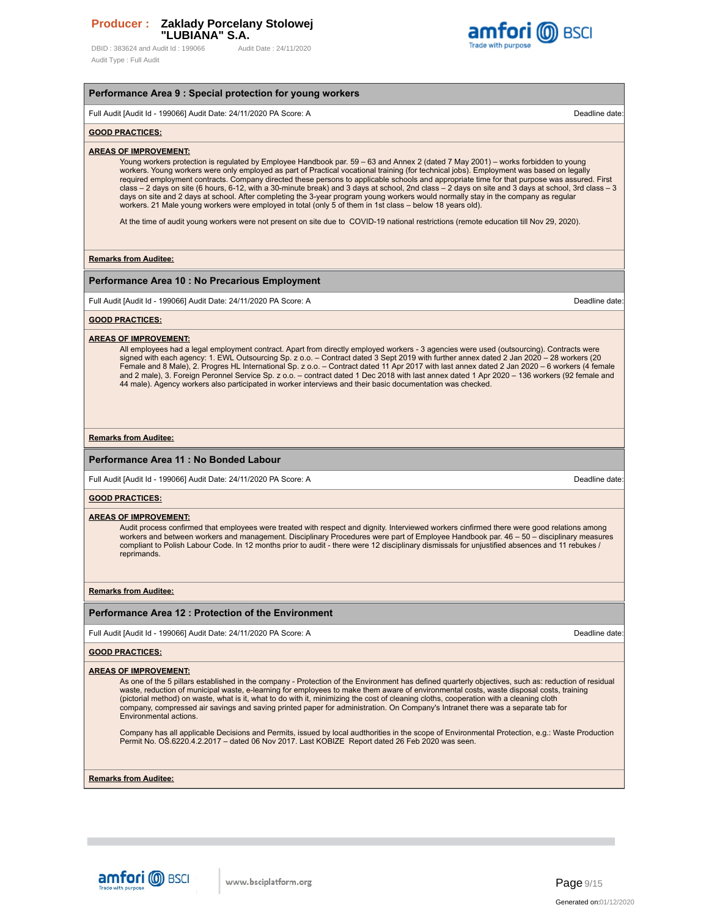DBID: 383624 and Audit Id: 199066 Audit Date: 24/11/2020 Audit Type : Full Audit



# **Performance Area 9 : Special protection for young workers** Full Audit [Audit Id - 199066] Audit Date: 24/11/2020 PA Score: A Deadline date: **GOOD PRACTICES: AREAS OF IMPROVEMENT:** Young workers protection is regulated by Employee Handbook par. 59 – 63 and Annex 2 (dated 7 May 2001) – works forbidden to young workers. Young workers were only employed as part of Practical vocational training (for technical jobs). Employment was based on legally required employment contracts. Company directed these persons to applicable schools and appropriate time for that purpose was assured. First class – 2 days on site (6 hours, 6-12, with a 30-minute break) and 3 days at school, 2nd class – 2 days on site and 3 days at school, 3rd class – 3 days on site and 2 days at school. After completing the 3-year program young workers would normally stay in the company as regular workers. 21 Male young workers were employed in total (only 5 of them in 1st class – below 18 years old). At the time of audit young workers were not present on site due to COVID-19 national restrictions (remote education till Nov 29, 2020). **Remarks from Auditee: Performance Area 10 : No Precarious Employment** Full Audit [Audit Id - 199066] Audit Date: 24/11/2020 PA Score: A Deadline date: **GOOD PRACTICES: AREAS OF IMPROVEMENT:** All employees had a legal employment contract. Apart from directly employed workers - 3 agencies were used (outsourcing). Contracts were<br>signed with each agency: 1. EWL Outsourcing Sp. z o.o. – Contract dated 3 Sept 2019 w Female and 8 Male), 2. Progres HL International Sp. z o.o. – Contract dated 11 Apr 2017 with last annex dated 2 Jan 2020 – 6 workers (4 female and 2 male), 3. Foreign Peronnel Service Sp. z o.o. – contract dated 1 Dec 2018 with last annex dated 1 Apr 2020 – 136 workers (92 female and 44 male). Agency workers also participated in worker interviews and their basic documentation was checked. **Remarks from Auditee: Performance Area 11 : No Bonded Labour** Full Audit [Audit Id - 199066] Audit Date: 24/11/2020 PA Score: A Deadline date: **GOOD PRACTICES: AREAS OF IMPROVEMENT:** Audit process confirmed that employees were treated with respect and dignity. Interviewed workers cinfirmed there were good relations among workers and between workers and management. Disciplinary Procedures were part of Employee Handbook par. 46 – 50 – disciplinary measures compliant to Polish Labour Code. In 12 months prior to audit - there were 12 disciplinary dismissals for unjustified absences and 11 rebukes / reprimands. **Remarks from Auditee: Performance Area 12 : Protection of the Environment** Full Audit [Audit Id - 199066] Audit Date: 24/11/2020 PA Score: A Deadline date: **GOOD PRACTICES: AREAS OF IMPROVEMENT:** As one of the 5 pillars established in the company - Protection of the Environment has defined quarterly objectives, such as: reduction of residual waste, reduction of municipal waste, e-learning for employees to make them aware of environmental costs, waste disposal costs, training (pictorial method) on waste, what is it, what to do with it, minimizing the cost of cleaning cloths, cooperation with a cleaning cloth company, compressed air savings and saving printed paper for administration. On Company's Intranet there was a separate tab for Environmental actions. Company has all applicable Decisions and Permits, issued by local audthorities in the scope of Environmental Protection, e.g.: Waste Production Permit No. OŚ.6220.4.2.2017 – dated 06 Nov 2017. Last KOBIZE Report dated 26 Feb 2020 was seen.

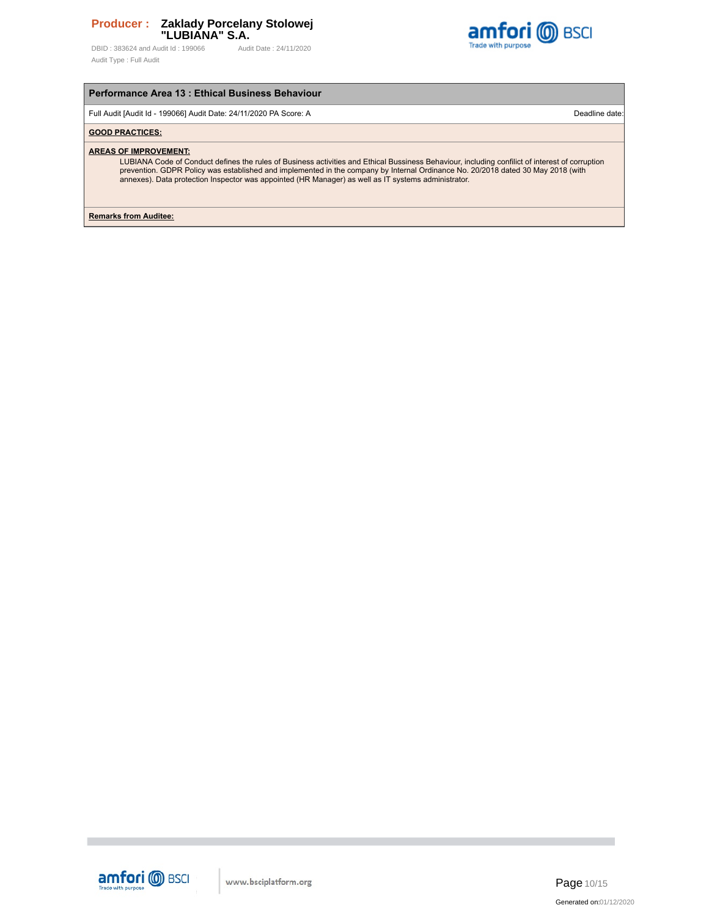DBID: 383624 and Audit Id: 199066 Audit Date: 24/11/2020 Audit Type : Full Audit



# **Performance Area 13 : Ethical Business Behaviour**

Full Audit [Audit Id - 199066] Audit Date: 24/11/2020 PA Score: A Deadline date: Deadline date: Deadline date

# **GOOD PRACTICES:**

### **AREAS OF IMPROVEMENT:**

LUBIANA Code of Conduct defines the rules of Business activities and Ethical Bussiness Behaviour, including confilict of interest of corruption<br>prevention. GDPR Policy was established and implemented in the company by Inte

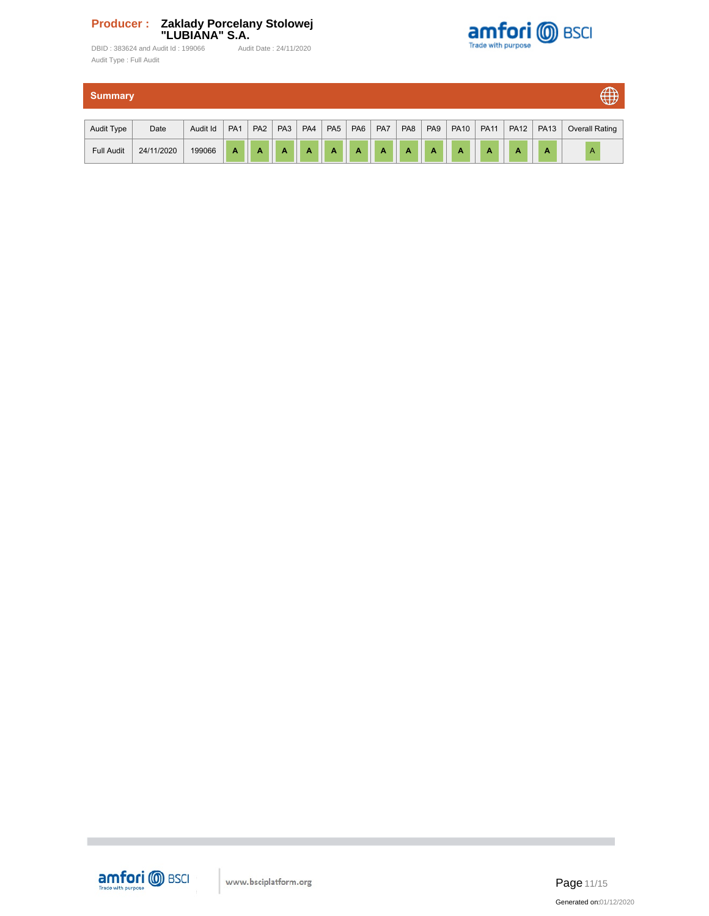

DBID : 383624 and Audit Id : 199066 Audit Date : 24/11/2020 Audit Type : Full Audit

| $\bigoplus$<br><b>Summary</b> |            |          |                 |                 |                 |                |                 |                 |           |                 |                 |             |             |             |             |                       |
|-------------------------------|------------|----------|-----------------|-----------------|-----------------|----------------|-----------------|-----------------|-----------|-----------------|-----------------|-------------|-------------|-------------|-------------|-----------------------|
| Audit Type                    | Date       | Audit Id | PA <sub>1</sub> | PA <sub>2</sub> | PA <sub>3</sub> | PA4            | PA <sub>5</sub> | PA <sub>6</sub> | PA7       | PA <sub>8</sub> | PA <sub>9</sub> | <b>PA10</b> | <b>PA11</b> | <b>PA12</b> | <b>PA13</b> | <b>Overall Rating</b> |
| <b>Full Audit</b>             | 24/11/2020 | 199066   | A               | A               | A               | $\overline{A}$ | A               | $\mathbf A$     | $\Lambda$ | A               | A               | A           | A           | A           | A           | $\overline{A}$        |



п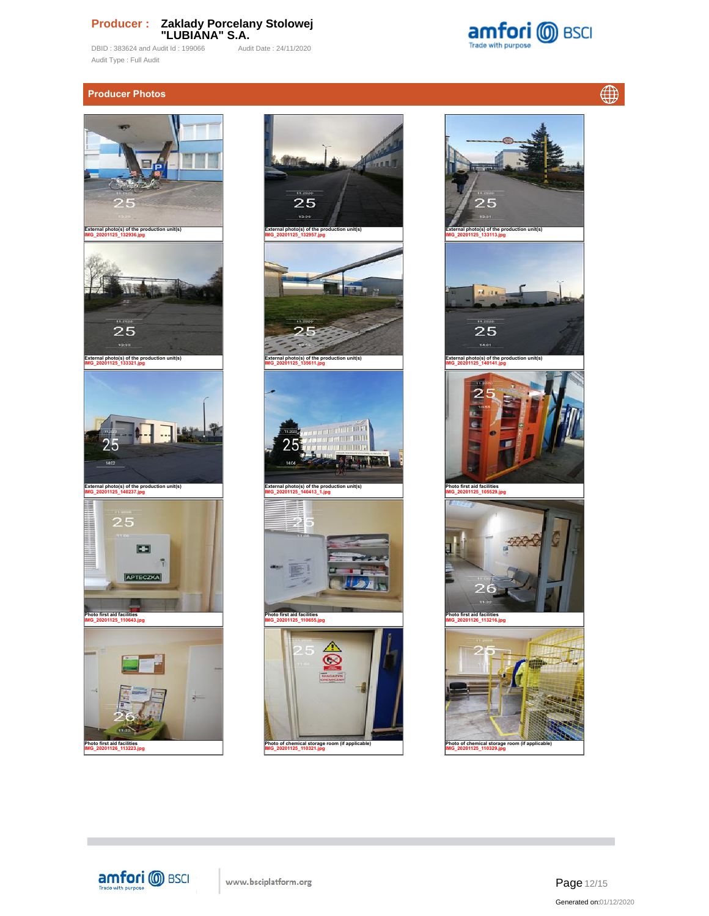DBID : 383624 and Audit Id : 199066 Audit Date : 24/11/2020 Audit Type : Full Audit

amfori @ BSCI Trade with purpose

 $\bigoplus$ 

# **Producer Photos**









Page 12/15 Generated on:01/12/2020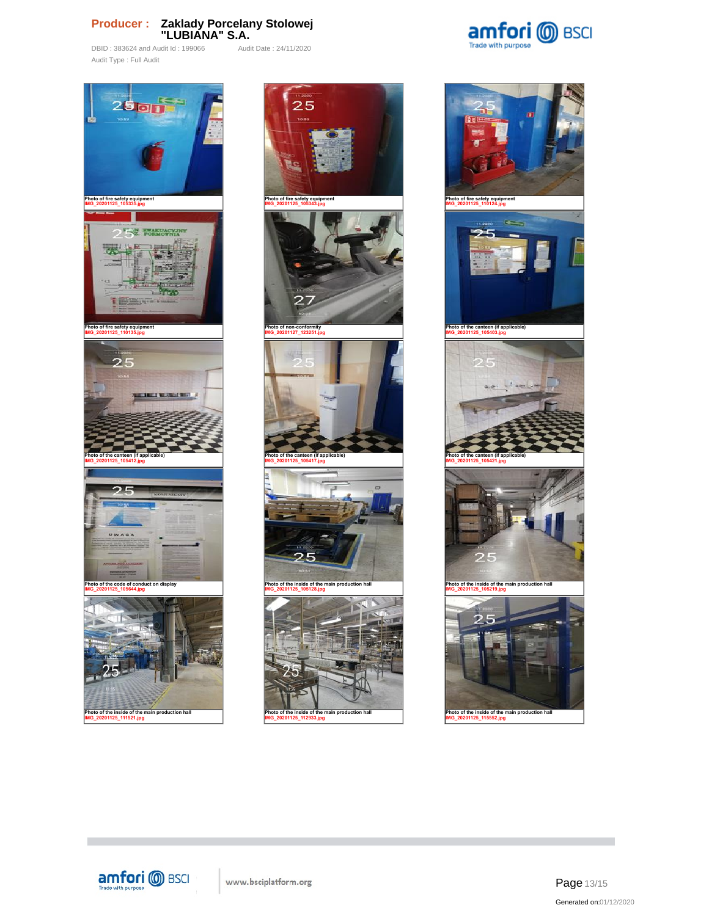DBID : 383624 and Audit Id : 199066 Audit Date : 24/11/2020 Audit Type : Full Audit



**Photo of the inside of the main production hall IMG\_20201125\_111521.jpg**

**COL** 



of the inside of the main pro **IMG\_20201125\_112933.jpg**





amfori **@** BSCI www.bsciplatform.org

Page 13/15 Generated on:01/12/2020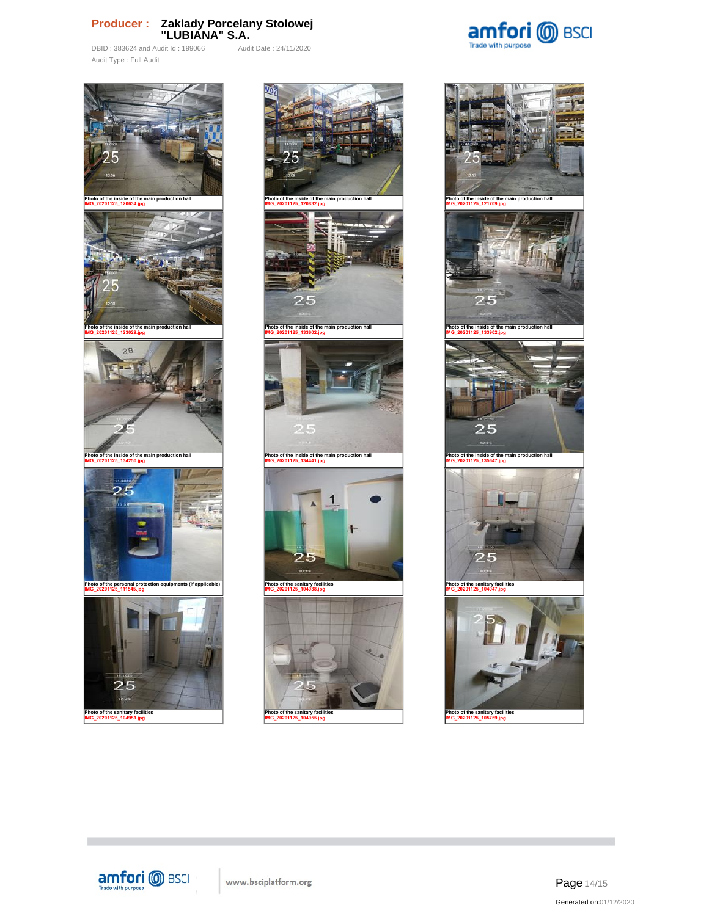DBID : 383624 and Audit Id : 199066 Audit Date : 24/11/2020 Audit Type : Full Audit







**Photo of the sanitary facilities IMG\_20201125\_104955.jpg**



**Photo of the sanitary facilities IMG\_20201125\_105759.jpg**



Page 14/15 Generated on:01/12/2020